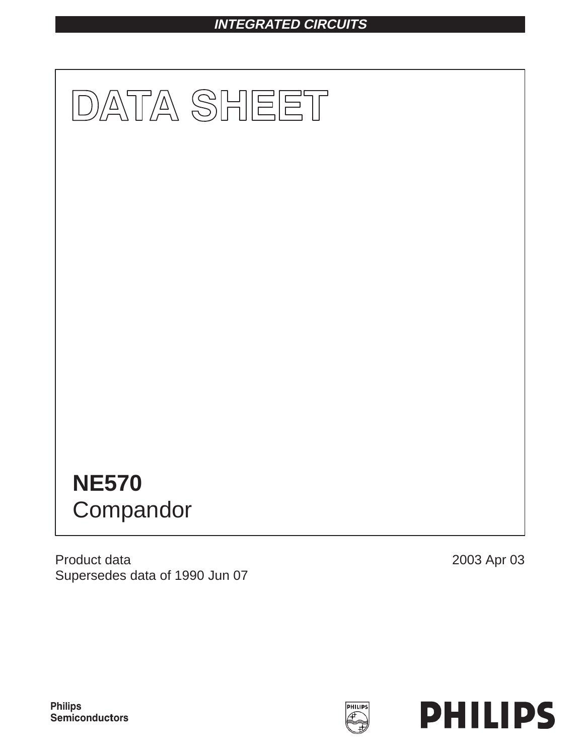# **INTEGRATED CIRCUITS**



Product data Supersedes data of 1990 Jun 07 2003 Apr 03



**Philips** Semiconductors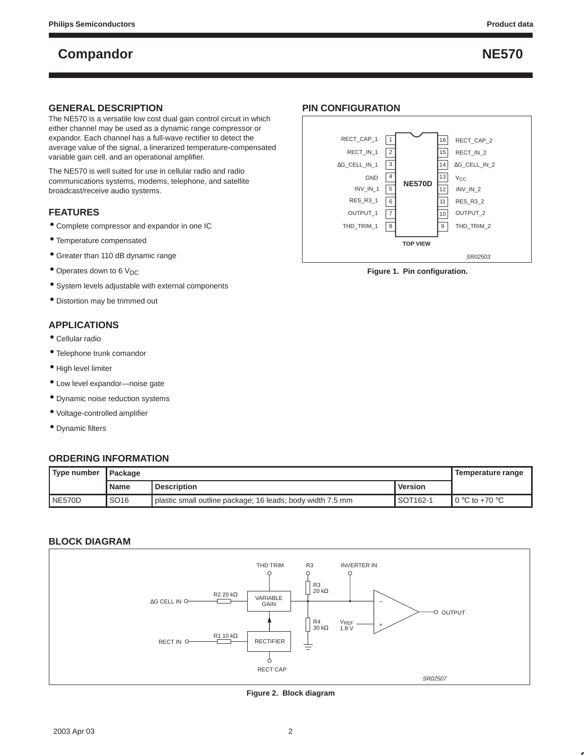#### **GENERAL DESCRIPTION**

The NE570 is a versatile low cost dual gain control circuit in which either channel may be used as a dynamic range compressor or expandor. Each channel has a full-wave rectifier to detect the average value of the signal, a linerarized temperature-compensated variable gain cell, and an operational amplifier.

The NE570 is well suited for use in cellular radio and radio communications systems, modems, telephone, and satellite broadcast/receive audio systems.

### **FEATURES**

- Complete compressor and expandor in one IC
- Temperature compensated
- Greater than 110 dB dynamic range
- $\bullet$  Operates down to 6 V<sub>DC</sub>
- System levels adjustable with external components
- Distortion may be trimmed out

### **APPLICATIONS**

- Cellular radio
- Telephone trunk comandor
- High level limiter
- Low level expandor—noise gate
- Dynamic noise reduction systems
- Voltage-controlled amplifier
- Dynamic filters

#### **ORDERING INFORMATION**

| ' Type number  | l Package        |                                                            |                | , Temperature range        |
|----------------|------------------|------------------------------------------------------------|----------------|----------------------------|
|                | <b>Name</b>      | <b>Description</b>                                         | <b>Version</b> |                            |
| <b>INE570D</b> | SO <sub>16</sub> | plastic small outline package; 16 leads; body width 7.5 mm | SOT162-1       | $\,$ l 0 °C to +70 °C $\,$ |

#### **BLOCK DIAGRAM**



**Figure 2. Block diagram**

### **PIN CONFIGURATION**



**Figure 1. Pin configuration.**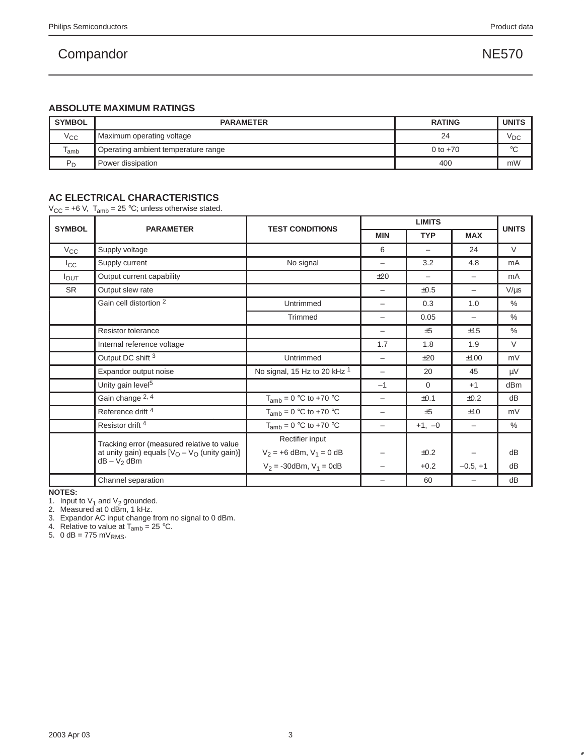### **ABSOLUTE MAXIMUM RATINGS**

| <b>SYMBOL</b> | <b>PARAMETER</b>                    | <b>RATING</b> | <b>UNITS</b>    |
|---------------|-------------------------------------|---------------|-----------------|
| $V_{\rm CC}$  | Maximum operating voltage           | 24            | <sup>V</sup> DC |
| lamb          | Operating ambient temperature range | 0 to $+70$    | $\sim$          |
| $P_D$         | Power dissipation                   | 400           | mW              |

### **AC ELECTRICAL CHARACTERISTICS**

 $V_{CC}$  = +6 V,  $T_{amb}$  = 25 °C; unless otherwise stated.

|                  |                                                  |                                         | <b>LIMITS</b>            |                          |                          |               |  |
|------------------|--------------------------------------------------|-----------------------------------------|--------------------------|--------------------------|--------------------------|---------------|--|
| <b>SYMBOL</b>    | <b>PARAMETER</b>                                 | <b>TEST CONDITIONS</b>                  | <b>MIN</b>               | <b>TYP</b>               | <b>MAX</b>               | <b>UNITS</b>  |  |
| $V_{\rm CC}$     | Supply voltage                                   |                                         | 6                        | $\overline{\phantom{0}}$ | 24                       | $\vee$        |  |
| $_{\rm{lcc}}$    | Supply current                                   | No signal                               | -                        | 3.2                      | 4.8                      | mA            |  |
| I <sub>OUT</sub> | Output current capability                        |                                         | ±20                      | -                        | $\overline{\phantom{0}}$ | mA            |  |
| <b>SR</b>        | Output slew rate                                 |                                         | -                        | $\pm 0.5$                | -                        | $V/\mu s$     |  |
|                  | Gain cell distortion 2                           | Untrimmed                               | $\qquad \qquad -$        | 0.3                      | 1.0                      | $\%$          |  |
|                  |                                                  | Trimmed                                 | $\qquad \qquad -$        | 0.05                     | $\overline{\phantom{0}}$ | $\frac{0}{0}$ |  |
|                  | <b>Resistor tolerance</b>                        |                                         | -                        | ±5                       | ±15                      | $\%$          |  |
|                  | Internal reference voltage                       |                                         | 1.7                      | 1.8                      | 1.9                      | $\vee$        |  |
|                  | Output DC shift 3                                | Untrimmed                               | $\overline{\phantom{0}}$ | ±20                      | ±100                     | mV            |  |
|                  | Expandor output noise                            | No signal, 15 Hz to 20 kHz <sup>1</sup> |                          | 20                       | 45                       | μV            |  |
|                  | Unity gain level <sup>5</sup>                    |                                         | $-1$                     | $\Omega$                 | $+1$                     | dBm           |  |
|                  | Gain change 2, 4                                 | $T_{amb} = 0$ °C to +70 °C              | -                        | $\pm 0.1$                | $\pm 0.2$                | dB            |  |
|                  | Reference drift <sup>4</sup>                     | $T_{amb} = 0$ °C to +70 °C              | $\overline{\phantom{0}}$ | ±5                       | ±10                      | mV            |  |
|                  | Resistor drift <sup>4</sup>                      | $T_{amb} = 0$ °C to +70 °C              | -                        | $+1, -0$                 | $\overline{\phantom{0}}$ | $\%$          |  |
|                  | Tracking error (measured relative to value       | Rectifier input                         |                          |                          |                          |               |  |
|                  | at unity gain) equals $[V_O - V_O$ (unity gain)] | $V_2 = +6$ dBm, $V_1 = 0$ dB            | $\qquad \qquad -$        | ±0.2                     |                          | dB            |  |
|                  | $dB - V_2$ dBm                                   | $V_2 = -30$ dBm, $V_1 = 0$ dB           |                          | $+0.2$                   | $-0.5, +1$               | dB            |  |
|                  | Channel separation                               |                                         |                          | 60                       |                          | dB            |  |

**NOTES:**

1. Input to  $V_1$  and  $V_2$  grounded.<br>2. Measured at 0 dBm, 1 kHz.

3. Expandor AC input change from no signal to 0 dBm.

4. Relative to value at  $T_{amb} = 25$  °C.

5.  $0$  dB = 775 mV<sub>RMS</sub>.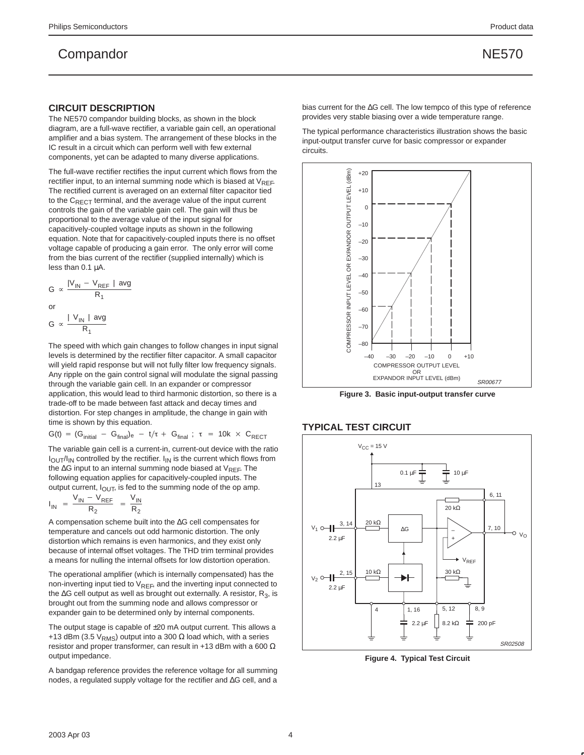#### **CIRCUIT DESCRIPTION**

The NE570 compandor building blocks, as shown in the block diagram, are a full-wave rectifier, a variable gain cell, an operational amplifier and a bias system. The arrangement of these blocks in the IC result in a circuit which can perform well with few external components, yet can be adapted to many diverse applications.

The full-wave rectifier rectifies the input current which flows from the rectifier input, to an internal summing node which is biased at  $V_{RFF}$ . The rectified current is averaged on an external filter capacitor tied to the  $C_{\text{RECT}}$  terminal, and the average value of the input current controls the gain of the variable gain cell. The gain will thus be proportional to the average value of the input signal for capacitively-coupled voltage inputs as shown in the following equation. Note that for capacitively-coupled inputs there is no offset voltage capable of producing a gain error. The only error will come from the bias current of the rectifier (supplied internally) which is less than 0.1 µA.

$$
G \propto \frac{|V_{IN} - V_{REF}| \text{ avg}}{R_1}
$$
  
or  

$$
G \propto \frac{|V_{IN}| \text{ avg}}{R_1}
$$

The speed with which gain changes to follow changes in input signal levels is determined by the rectifier filter capacitor. A small capacitor will yield rapid response but will not fully filter low frequency signals. Any ripple on the gain control signal will modulate the signal passing through the variable gain cell. In an expander or compressor application, this would lead to third harmonic distortion, so there is a trade-off to be made between fast attack and decay times and distortion. For step changes in amplitude, the change in gain with time is shown by this equation.

$$
G(t) = (G_{initial} - G_{final})_e - t/\tau + G_{final} ; \ \tau = 10k \times C_{RECT}
$$

The variable gain cell is a current-in, current-out device with the ratio  $I_{\text{OUT}}/I_{\text{IN}}$  controlled by the rectifier.  $I_{\text{IN}}$  is the current which flows from the ∆G input to an internal summing node biased at  $V_{RFF}$ . The following equation applies for capacitively-coupled inputs. The output current,  $I_{\text{OUT}}$ , is fed to the summing node of the op amp.

$$
I_{IN} = \frac{V_{IN} - V_{REF}}{R_2} = \frac{V_{IN}}{R_2}
$$

A compensation scheme built into the ∆G cell compensates for temperature and cancels out odd harmonic distortion. The only distortion which remains is even harmonics, and they exist only because of internal offset voltages. The THD trim terminal provides a means for nulling the internal offsets for low distortion operation.

The operational amplifier (which is internally compensated) has the non-inverting input tied to  $V_{RFE}$ , and the inverting input connected to the ∆G cell output as well as brought out externally. A resistor, R<sub>3</sub>, is brought out from the summing node and allows compressor or expander gain to be determined only by internal components.

The output stage is capable of  $\pm 20$  mA output current. This allows a +13 dBm (3.5 V<sub>RMS</sub>) output into a 300  $\Omega$  load which, with a series resistor and proper transformer, can result in +13 dBm with a 600  $\Omega$ output impedance.

A bandgap reference provides the reference voltage for all summing nodes, a regulated supply voltage for the rectifier and ∆G cell, and a

bias current for the ∆G cell. The low tempco of this type of reference provides very stable biasing over a wide temperature range.

The typical performance characteristics illustration shows the basic input-output transfer curve for basic compressor or expander circuits.



**Figure 3. Basic input-output transfer curve**

#### **TYPICAL TEST CIRCUIT**



**Figure 4. Typical Test Circuit**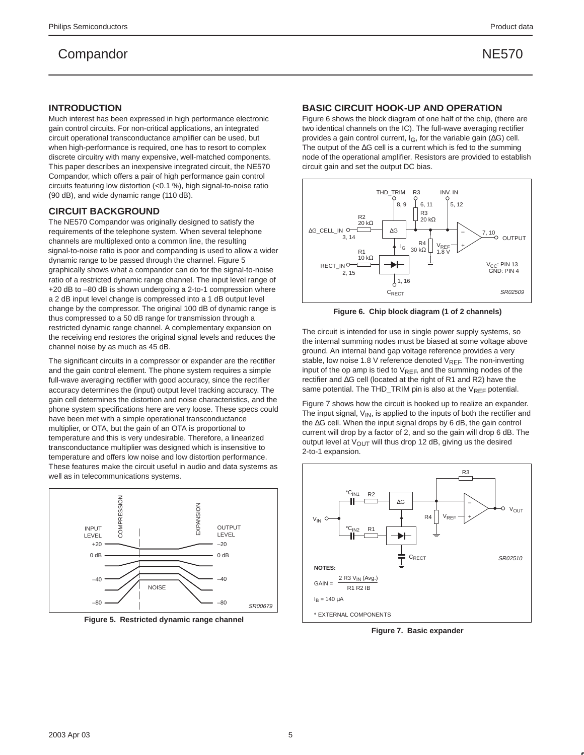#### **INTRODUCTION**

Much interest has been expressed in high performance electronic gain control circuits. For non-critical applications, an integrated circuit operational transconductance amplifier can be used, but when high-performance is required, one has to resort to complex discrete circuitry with many expensive, well-matched components. This paper describes an inexpensive integrated circuit, the NE570 Compandor, which offers a pair of high performance gain control circuits featuring low distortion (<0.1 %), high signal-to-noise ratio (90 dB), and wide dynamic range (110 dB).

#### **CIRCUIT BACKGROUND**

The NE570 Compandor was originally designed to satisfy the requirements of the telephone system. When several telephone channels are multiplexed onto a common line, the resulting signal-to-noise ratio is poor and companding is used to allow a wider dynamic range to be passed through the channel. Figure 5 graphically shows what a compandor can do for the signal-to-noise ratio of a restricted dynamic range channel. The input level range of +20 dB to –80 dB is shown undergoing a 2-to-1 compression where a 2 dB input level change is compressed into a 1 dB output level change by the compressor. The original 100 dB of dynamic range is thus compressed to a 50 dB range for transmission through a restricted dynamic range channel. A complementary expansion on the receiving end restores the original signal levels and reduces the channel noise by as much as 45 dB.

The significant circuits in a compressor or expander are the rectifier and the gain control element. The phone system requires a simple full-wave averaging rectifier with good accuracy, since the rectifier accuracy determines the (input) output level tracking accuracy. The gain cell determines the distortion and noise characteristics, and the phone system specifications here are very loose. These specs could have been met with a simple operational transconductance multiplier, or OTA, but the gain of an OTA is proportional to temperature and this is very undesirable. Therefore, a linearized transconductance multiplier was designed which is insensitive to temperature and offers low noise and low distortion performance. These features make the circuit useful in audio and data systems as well as in telecommunications systems.



**Figure 5. Restricted dynamic range channel**

#### **BASIC CIRCUIT HOOK-UP AND OPERATION**

Figure 6 shows the block diagram of one half of the chip, (there are two identical channels on the IC). The full-wave averaging rectifier provides a gain control current,  $I_G$ , for the variable gain ( $\Delta G$ ) cell. The output of the ∆G cell is a current which is fed to the summing node of the operational amplifier. Resistors are provided to establish circuit gain and set the output DC bias.



**Figure 6. Chip block diagram (1 of 2 channels)**

The circuit is intended for use in single power supply systems, so the internal summing nodes must be biased at some voltage above ground. An internal band gap voltage reference provides a very stable, low noise 1.8 V reference denoted  $V_{REF}$ . The non-inverting input of the op amp is tied to  $V_{REF}$ , and the summing nodes of the rectifier and ∆G cell (located at the right of R1 and R2) have the same potential. The THD\_TRIM pin is also at the  $V_{REF}$  potential.

Figure 7 shows how the circuit is hooked up to realize an expander. The input signal,  $V_{IN}$ , is applied to the inputs of both the rectifier and the ∆G cell. When the input signal drops by 6 dB, the gain control current will drop by a factor of 2, and so the gain will drop 6 dB. The output level at  $V_{\text{OUT}}$  will thus drop 12 dB, giving us the desired 2-to-1 expansion.



**Figure 7. Basic expander**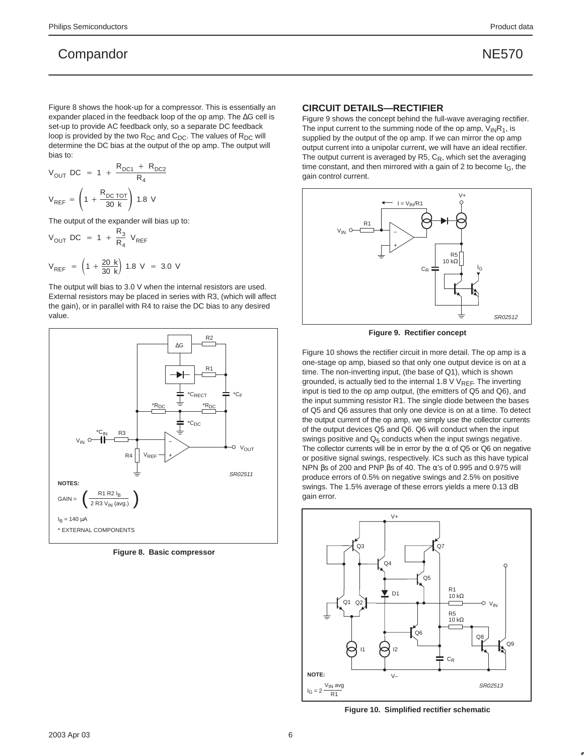Figure 8 shows the hook-up for a compressor. This is essentially an expander placed in the feedback loop of the op amp. The ∆G cell is set-up to provide AC feedback only, so a separate DC feedback loop is provided by the two  $R_{DC}$  and  $C_{DC}$ . The values of  $R_{DC}$  will determine the DC bias at the output of the op amp. The output will bias to:

$$
V_{OUT} DC = 1 + \frac{R_{DC1} + R_{DC2}}{R_4}
$$
  
 $V_{REF} = \left(1 + \frac{R_{DCi}OT}{30 k}\right) 1.8 V$ 

The output of the expander will bias up to:

$$
V_{OUT}
$$
 DC = 1 +  $\frac{R_3}{R_4}$  V<sub>REF</sub>  
 $V_{REF}$  =  $\left(1 + \frac{20 \text{ k}}{30 \text{ k}}\right)$  1.8 V = 3.0 V

The output will bias to 3.0 V when the internal resistors are used. External resistors may be placed in series with R3, (which will affect the gain), or in parallel with R4 to raise the DC bias to any desired value.



**Figure 8. Basic compressor**

#### **CIRCUIT DETAILS—RECTIFIER**

Figure 9 shows the concept behind the full-wave averaging rectifier. The input current to the summing node of the op amp,  $V_{IN}R_1$ , is supplied by the output of the op amp. If we can mirror the op amp output current into a unipolar current, we will have an ideal rectifier. The output current is averaged by R5,  $C_R$ , which set the averaging time constant, and then mirrored with a gain of 2 to become I<sub>G</sub>, the gain control current.



**Figure 9. Rectifier concept**

Figure 10 shows the rectifier circuit in more detail. The op amp is a one-stage op amp, biased so that only one output device is on at a time. The non-inverting input, (the base of Q1), which is shown grounded, is actually tied to the internal 1.8  $\vee$  V<sub>REF</sub>. The inverting input is tied to the op amp output, (the emitters of Q5 and Q6), and the input summing resistor R1. The single diode between the bases of Q5 and Q6 assures that only one device is on at a time. To detect the output current of the op amp, we simply use the collector currents of the output devices Q5 and Q6. Q6 will conduct when the input swings positive and  $Q_5$  conducts when the input swings negative. The collector currents will be in error by the  $\alpha$  of Q5 or Q6 on negative or positive signal swings, respectively. ICs such as this have typical NPN  $βs$  of 200 and PNP  $βs$  of 40. The α's of 0.995 and 0.975 will produce errors of 0.5% on negative swings and 2.5% on positive swings. The 1.5% average of these errors yields a mere 0.13 dB gain error.



**Figure 10. Simplified rectifier schematic**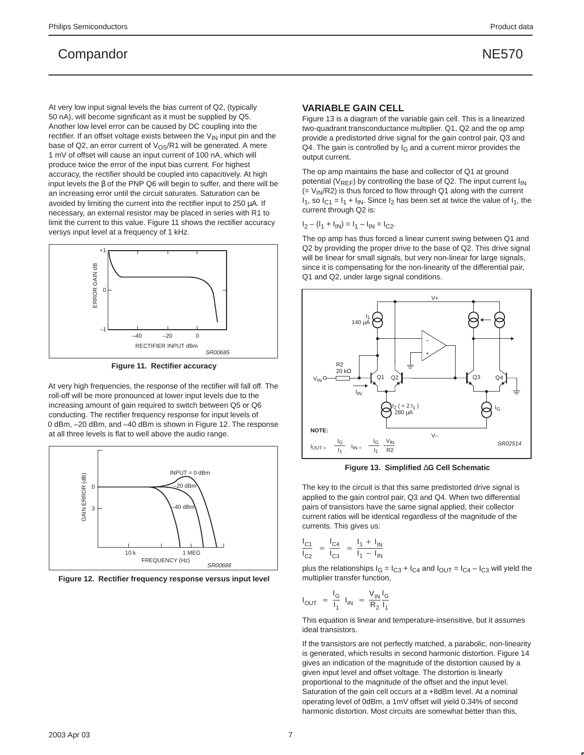At very low input signal levels the bias current of Q2, (typically 50 nA), will become significant as it must be supplied by Q5. Another low level error can be caused by DC coupling into the rectifier. If an offset voltage exists between the  $V_{IN}$  input pin and the base of Q2, an error current of  $V_{OS}/R1$  will be generated. A mere 1 mV of offset will cause an input current of 100 nA, which will produce twice the error of the input bias current. For highest accuracy, the rectifier should be coupled into capacitively. At high input levels the β of the PNP Q6 will begin to suffer, and there will be an increasing error until the circuit saturates. Saturation can be avoided by limiting the current into the rectifier input to  $250 \mu A$ . If necessary, an external resistor may be placed in series with R1 to limit the current to this value. Figure 11 shows the rectifier accuracy versys input level at a frequency of 1 kHz.



**Figure 11. Rectifier accuracy**

At very high frequencies, the response of the rectifier will fall off. The roll-off will be more pronounced at lower input levels due to the increasing amount of gain required to switch between Q5 or Q6 conducting. The rectifier frequency response for input levels of 0 dBm, –20 dBm, and –40 dBm is shown in Figure 12. The response at all three levels is flat to well above the audio range.



**Figure 12. Rectifier frequency response versus input level**

#### **VARIABLE GAIN CELL**

Figure 13 is a diagram of the variable gain cell. This is a linearized two-quadrant transconductance multiplier. Q1, Q2 and the op amp provide a predistorted drive signal for the gain control pair, Q3 and Q4. The gain is controlled by  $I_G$  and a current mirror provides the output current.

The op amp maintains the base and collector of Q1 at ground potential ( $V_{RFF}$ ) by controlling the base of Q2. The input current  $I_{IN}$  $(= V_{IN}/R2)$  is thus forced to flow through Q1 along with the current  $I_1$ , so  $I_{C1} = I_1 + I_{IN}$ . Since  $I_2$  has been set at twice the value of  $I_1$ , the current through Q2 is:

$$
I_2 - (I_1 + I_{IN}) = I_1 - I_{IN} = I_{C2}.
$$

The op amp has thus forced a linear current swing between Q1 and Q2 by providing the proper drive to the base of Q2. This drive signal will be linear for small signals, but very non-linear for large signals, since it is compensating for the non-linearity of the differential pair, Q1 and Q2, under large signal conditions.



**Figure 13. Simplified** ∆**G Cell Schematic**

The key to the circuit is that this same predistorted drive signal is applied to the gain control pair, Q3 and Q4. When two differential pairs of transistors have the same signal applied, their collector current ratios will be identical regardless of the magnitude of the currents. This gives us:

$$
\frac{I_{C1}}{I_{C2}} = \frac{I_{C4}}{I_{C3}} = \frac{I_1 + I_{IN}}{I_1 - I_{IN}}
$$

plus the relationships  $I_G = I_{C3} + I_{C4}$  and  $I_{OUT} = I_{C4} - I_{C3}$  will yield the multiplier transfer function,

$$
I_{OUT} = \frac{I_G}{I_1} I_{IN} = \frac{V_{IN} I_G}{R_2 I_1}
$$

This equation is linear and temperature-insensitive, but it assumes ideal transistors.

If the transistors are not perfectly matched, a parabolic, non-linearity is generated, which results in second harmonic distortion. Figure 14 gives an indication of the magnitude of the distortion caused by a given input level and offset voltage. The distortion is linearly proportional to the magnitude of the offset and the input level. Saturation of the gain cell occurs at a +8dBm level. At a nominal operating level of 0dBm, a 1mV offset will yield 0.34% of second harmonic distortion. Most circuits are somewhat better than this,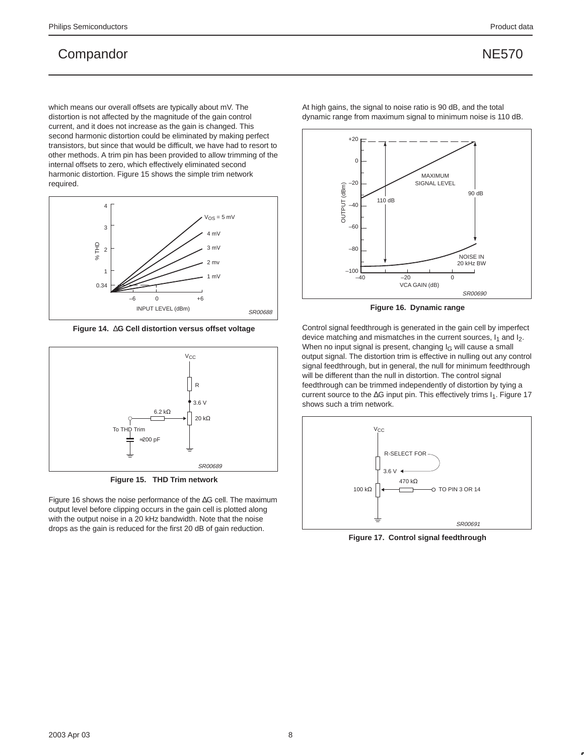which means our overall offsets are typically about mV. The distortion is not affected by the magnitude of the gain control current, and it does not increase as the gain is changed. This second harmonic distortion could be eliminated by making perfect transistors, but since that would be difficult, we have had to resort to other methods. A trim pin has been provided to allow trimming of the internal offsets to zero, which effectively eliminated second harmonic distortion. Figure 15 shows the simple trim network required.



**Figure 14.** ∆**G Cell distortion versus offset voltage**



**Figure 15. THD Trim network**

Figure 16 shows the noise performance of the ∆G cell. The maximum output level before clipping occurs in the gain cell is plotted along with the output noise in a 20 kHz bandwidth. Note that the noise drops as the gain is reduced for the first 20 dB of gain reduction.

At high gains, the signal to noise ratio is 90 dB, and the total dynamic range from maximum signal to minimum noise is 110 dB.



**Figure 16. Dynamic range**

Control signal feedthrough is generated in the gain cell by imperfect device matching and mismatches in the current sources,  $I_1$  and  $I_2$ . When no input signal is present, changing  $I_G$  will cause a small output signal. The distortion trim is effective in nulling out any control signal feedthrough, but in general, the null for minimum feedthrough will be different than the null in distortion. The control signal feedthrough can be trimmed independently of distortion by tying a current source to the ∆G input pin. This effectively trims I<sub>1</sub>. Figure 17 shows such a trim network.



**Figure 17. Control signal feedthrough**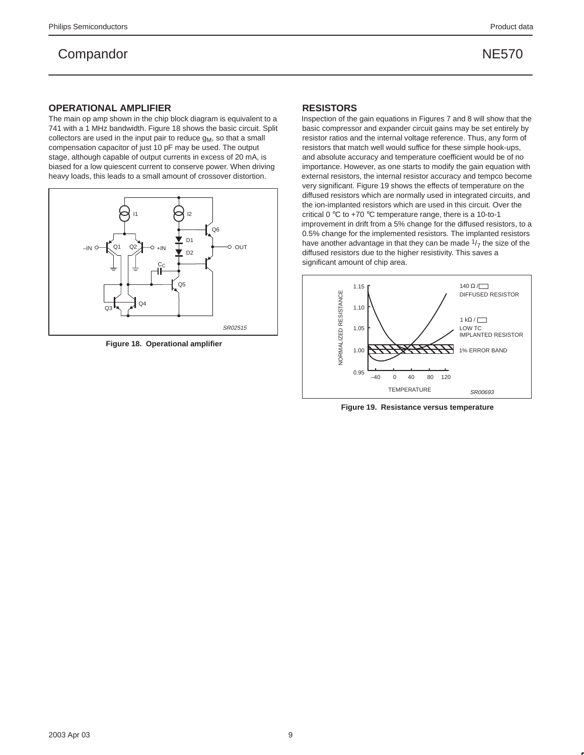#### **OPERATIONAL AMPLIFIER**

The main op amp shown in the chip block diagram is equivalent to a 741 with a 1 MHz bandwidth. Figure 18 shows the basic circuit. Split collectors are used in the input pair to reduce  $g_M$ , so that a small compensation capacitor of just 10 pF may be used. The output stage, although capable of output currents in excess of 20 mA, is biased for a low quiescent current to conserve power. When driving heavy loads, this leads to a small amount of crossover distortion.



**Figure 18. Operational amplifier**

#### **RESISTORS**

Inspection of the gain equations in Figures 7 and 8 will show that the basic compressor and expander circuit gains may be set entirely by resistor ratios and the internal voltage reference. Thus, any form of resistors that match well would suffice for these simple hook-ups, and absolute accuracy and temperature coefficient would be of no importance. However, as one starts to modify the gain equation with external resistors, the internal resistor accuracy and tempco become very significant. Figure 19 shows the effects of temperature on the diffused resistors which are normally used in integrated circuits, and the ion-implanted resistors which are used in this circuit. Over the critical 0 °C to +70 °C temperature range, there is a 10-to-1 improvement in drift from a 5% change for the diffused resistors, to a 0.5% change for the implemented resistors. The implanted resistors have another advantage in that they can be made  $1/7$  the size of the diffused resistors due to the higher resistivity. This saves a significant amount of chip area.



**Figure 19. Resistance versus temperature**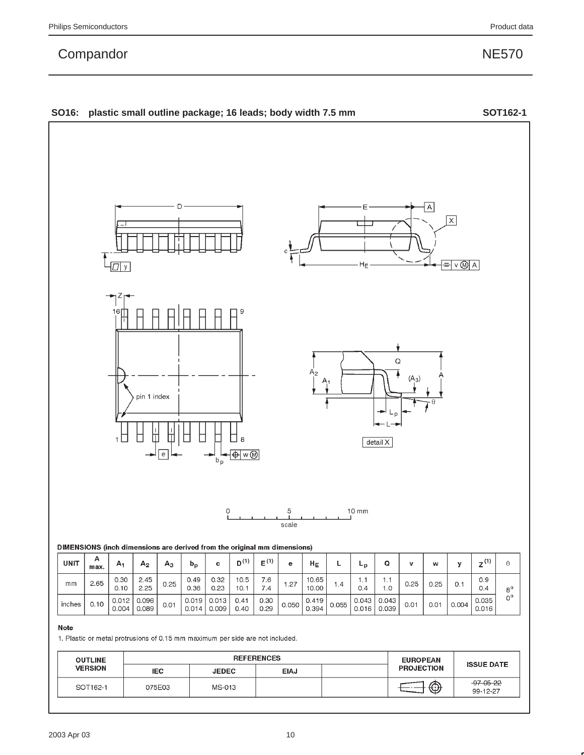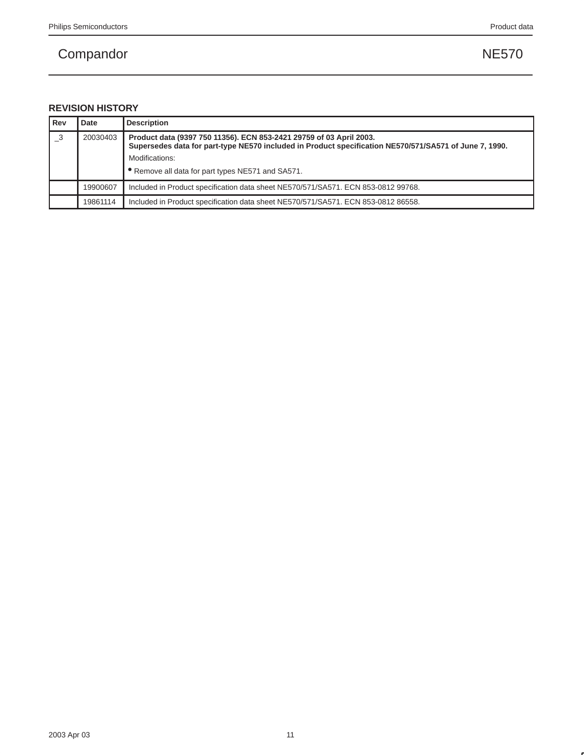## **REVISION HISTORY**

| Rev                        | Date     | <b>Description</b>                                                                                                                                                            |  |
|----------------------------|----------|-------------------------------------------------------------------------------------------------------------------------------------------------------------------------------|--|
| $\overline{\phantom{0}}^3$ | 20030403 | Product data (9397 750 11356). ECN 853-2421 29759 of 03 April 2003.<br>Supersedes data for part-type NE570 included in Product specification NE570/571/SA571 of June 7, 1990. |  |
|                            |          | Modifications:                                                                                                                                                                |  |
|                            |          | • Remove all data for part types NE571 and SA571.                                                                                                                             |  |
|                            | 19900607 | Included in Product specification data sheet NE570/571/SA571. ECN 853-0812 99768.                                                                                             |  |
|                            | 19861114 | Included in Product specification data sheet NE570/571/SA571. ECN 853-0812 86558.                                                                                             |  |